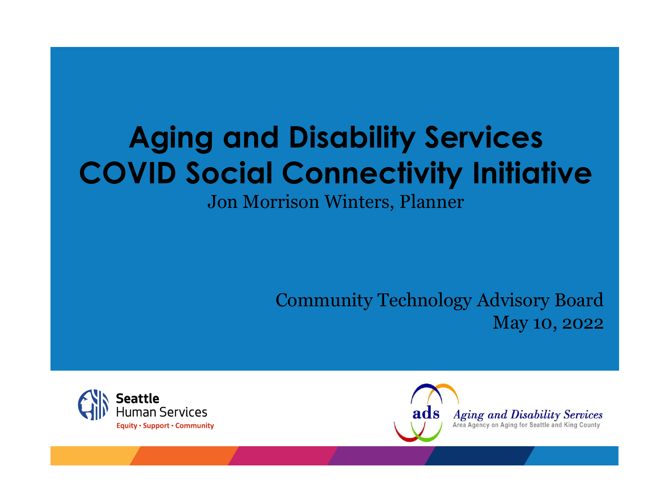### **Aging and Disability Services COVID Social Connectivity Initiative**

Jon Morrison Winters, Planner

Community Technology Advisory Board May 10, 2022



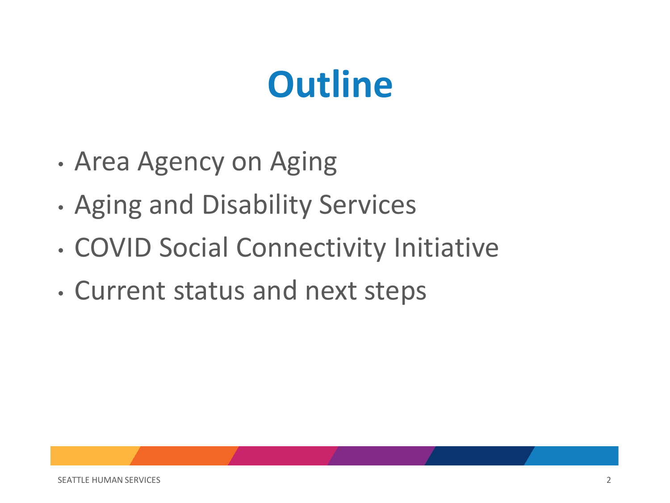## **Outline**

- Area Agency on Aging
- Aging and Disability Services
- COVID Social Connectivity Initiative
- Current status and next steps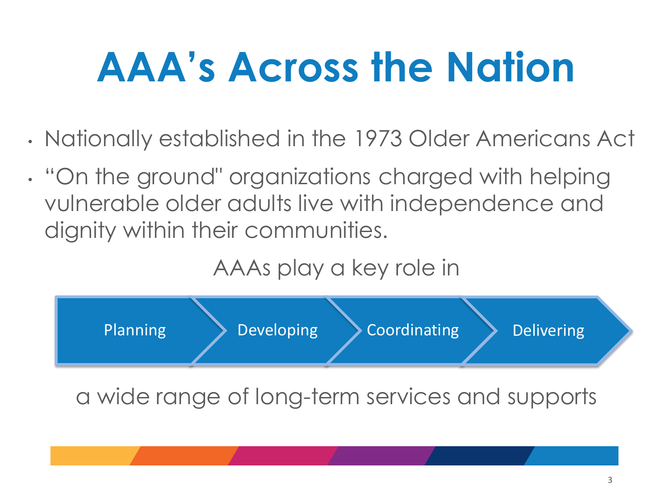## **AAA's Across the Nation**

- Nationally established in the 1973 Older Americans Act
- "On the ground" organizations charged with helping vulnerable older adults live with independence and dignity within their communities.

AAAs play a key role in



a wide range of long-term services and supports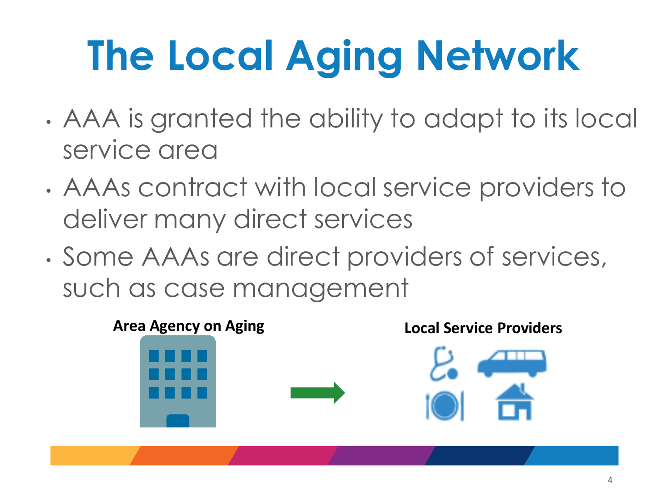# **The Local Aging Network**

- AAA is granted the ability to adapt to its local service area
- AAAs contract with local service providers to deliver many direct services
- Some AAAs are direct providers of services, such as case management

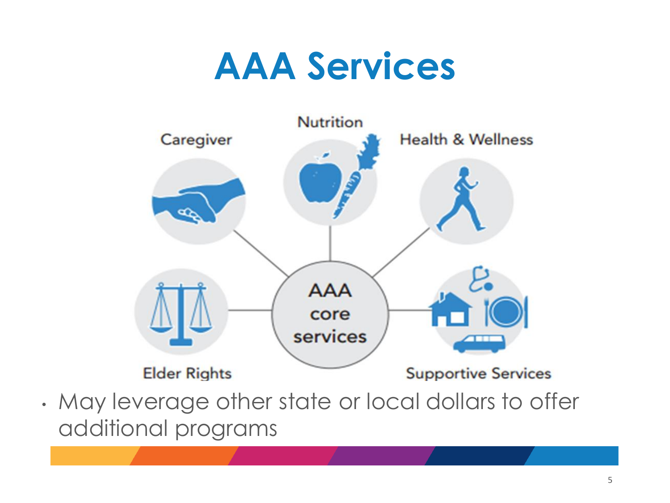### **AAA Services**



• May leverage other state or local dollars to offer additional programs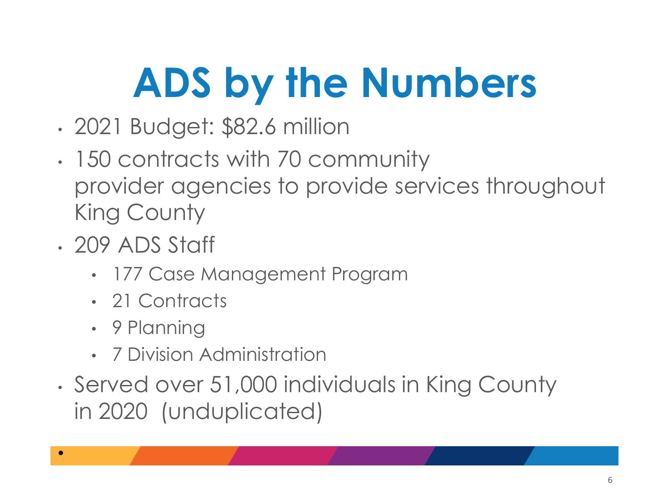# **ADS by the Numbers**

- 2021 Budget: \$82.6 million
- 150 contracts with 70 community provider agencies to provide services throughout King County
- 209 ADS Staff
	- 177 Case Management Program
	- 21 Contracts
	- 9 Planning

•

- 7 Division Administration
- Served over 51,000 individuals in King County in 2020 (unduplicated)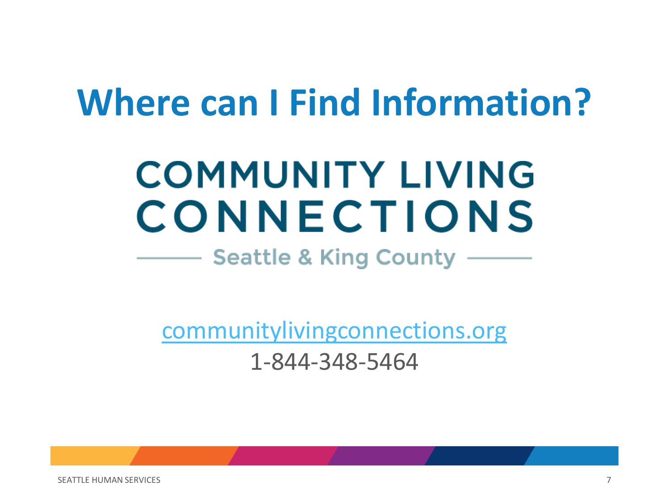## **Where can I Find Information?**

## **COMMUNITY LIVING** CONNECTIONS

#### **Seattle & King County**

[communitylivingconnections.org](https://www.communitylivingconnections.org/)

1-844-348-5464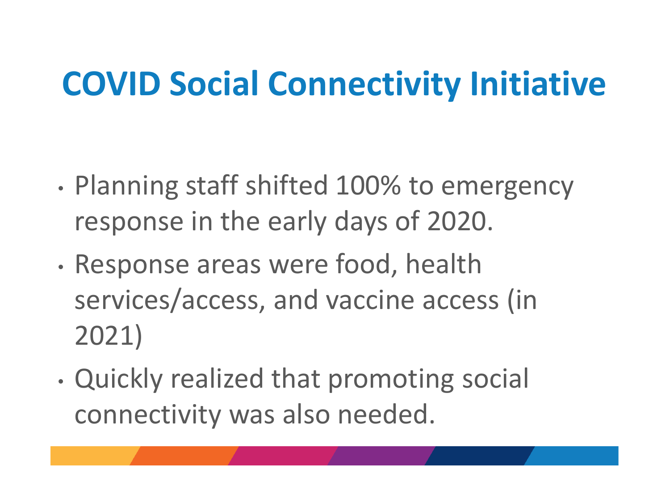### **COVID Social Connectivity Initiative**

- Planning staff shifted 100% to emergency response in the early days of 2020.
- Response areas were food, health services/access, and vaccine access (in 2021)
- Quickly realized that promoting social connectivity was also needed.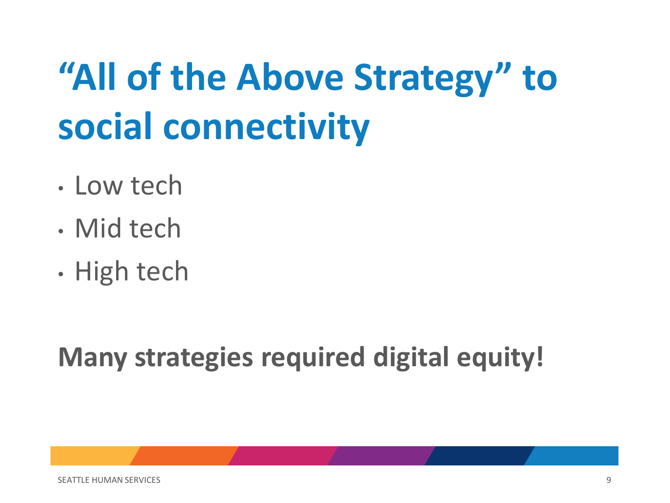## **"All of the Above Strategy" to social connectivity**

- Low tech
- Mid tech
- High tech

#### **Many strategies required digital equity!**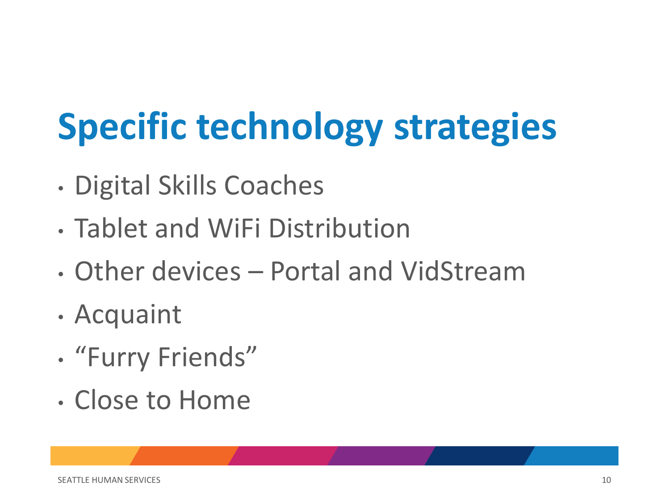## **Specific technology strategies**

- Digital Skills Coaches
- Tablet and WiFi Distribution
- Other devices Portal and VidStream
- Acquaint
- "Furry Friends"
- Close to Home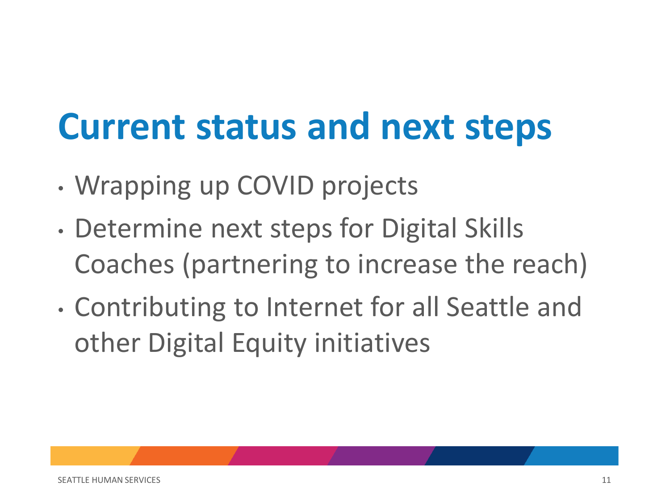### **Current status and next steps**

- Wrapping up COVID projects
- Determine next steps for Digital Skills Coaches (partnering to increase the reach)
- Contributing to Internet for all Seattle and other Digital Equity initiatives